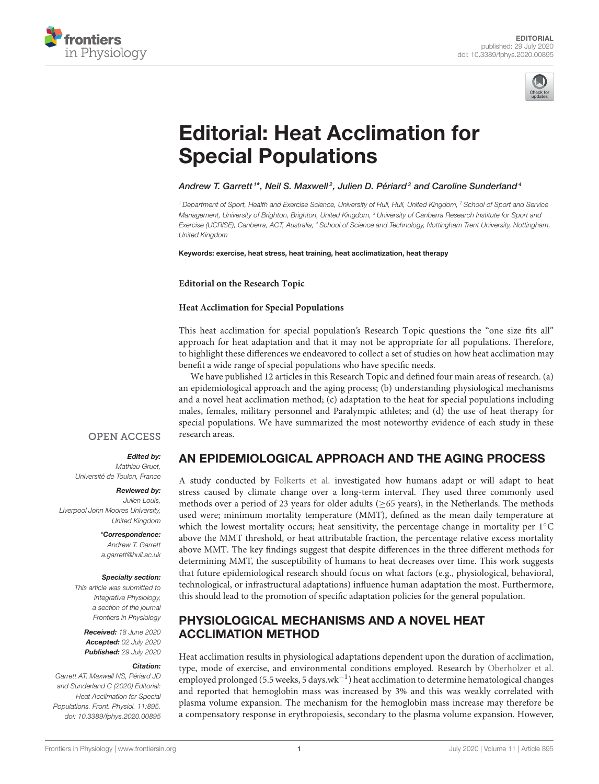



# [Editorial: Heat Acclimation for](https://www.frontiersin.org/articles/10.3389/fphys.2020.00895/full) Special Populations

[Andrew T. Garrett](http://loop.frontiersin.org/people/410684/overview) <sup>1\*</sup>, [Neil S. Maxwell](http://loop.frontiersin.org/people/426571/overview)<sup>2</sup>, [Julien D. Périard](http://loop.frontiersin.org/people/50115/overview)<sup>3</sup> and [Caroline Sunderland](http://loop.frontiersin.org/people/267620/overview)<sup>4</sup>

<sup>1</sup> Department of Sport, Health and Exercise Science, University of Hull, Hull, United Kingdom, <sup>2</sup> School of Sport and Service Management, University of Brighton, Brighton, United Kingdom, <sup>3</sup> University of Canberra Research Institute for Sport and Exercise (UCRISE), Canberra, ACT, Australia, <sup>4</sup> School of Science and Technology, Nottingham Trent University, Nottingham, United Kingdom

Keywords: exercise, heat stress, heat training, heat acclimatization, heat therapy

**Editorial on the Research Topic**

### **[Heat Acclimation for Special Populations](https://www.frontiersin.org/research-topics/9689/heat-acclimation-for-special-populations)**

This heat acclimation for special population's Research Topic questions the "one size fits all" approach for heat adaptation and that it may not be appropriate for all populations. Therefore, to highlight these differences we endeavored to collect a set of studies on how heat acclimation may benefit a wide range of special populations who have specific needs.

We have published 12 articles in this Research Topic and defined four main areas of research. (a) an epidemiological approach and the aging process; (b) understanding physiological mechanisms and a novel heat acclimation method; (c) adaptation to the heat for special populations including males, females, military personnel and Paralympic athletes; and (d) the use of heat therapy for special populations. We have summarized the most noteworthy evidence of each study in these research areas.

## **OPEN ACCESS**

## Edited by:

Mathieu Gruet, Université de Toulon, France

#### Reviewed by:

Julien Louis, Liverpool John Moores University, United Kingdom

> \*Correspondence: Andrew T. Garrett [a.garrett@hull.ac.uk](mailto:a.garrett@hull.ac.uk)

## Specialty section:

This article was submitted to Integrative Physiology, a section of the journal Frontiers in Physiology

Received: 18 June 2020 Accepted: 02 July 2020 Published: 29 July 2020

#### Citation:

Garrett AT, Maxwell NS, Périard JD and Sunderland C (2020) Editorial: Heat Acclimation for Special Populations. Front. Physiol. 11:895. doi: [10.3389/fphys.2020.00895](https://doi.org/10.3389/fphys.2020.00895) AN EPIDEMIOLOGICAL APPROACH AND THE AGING PROCESS

A study conducted by [Folkerts et al.](https://doi.org/10.3389/fphys.2020.00225) investigated how humans adapt or will adapt to heat stress caused by climate change over a long-term interval. They used three commonly used methods over a period of 23 years for older adults ( $\geq$ 65 years), in the Netherlands. The methods used were; minimum mortality temperature (MMT), defined as the mean daily temperature at which the lowest mortality occurs; heat sensitivity, the percentage change in mortality per 1<sup>◦</sup>C above the MMT threshold, or heat attributable fraction, the percentage relative excess mortality above MMT. The key findings suggest that despite differences in the three different methods for determining MMT, the susceptibility of humans to heat decreases over time. This work suggests that future epidemiological research should focus on what factors (e.g., physiological, behavioral, technological, or infrastructural adaptations) influence human adaptation the most. Furthermore, this should lead to the promotion of specific adaptation policies for the general population.

## PHYSIOLOGICAL MECHANISMS AND A NOVEL HEAT ACCLIMATION METHOD

Heat acclimation results in physiological adaptations dependent upon the duration of acclimation, type, mode of exercise, and environmental conditions employed. Research by [Oberholzer et al.](https://doi.org/10.3389/fphys.2019.01379) employed prolonged (5.5 weeks, 5 days.wk<sup>-1</sup>) heat acclimation to determine hematological changes and reported that hemoglobin mass was increased by 3% and this was weakly correlated with plasma volume expansion. The mechanism for the hemoglobin mass increase may therefore be a compensatory response in erythropoiesis, secondary to the plasma volume expansion. However,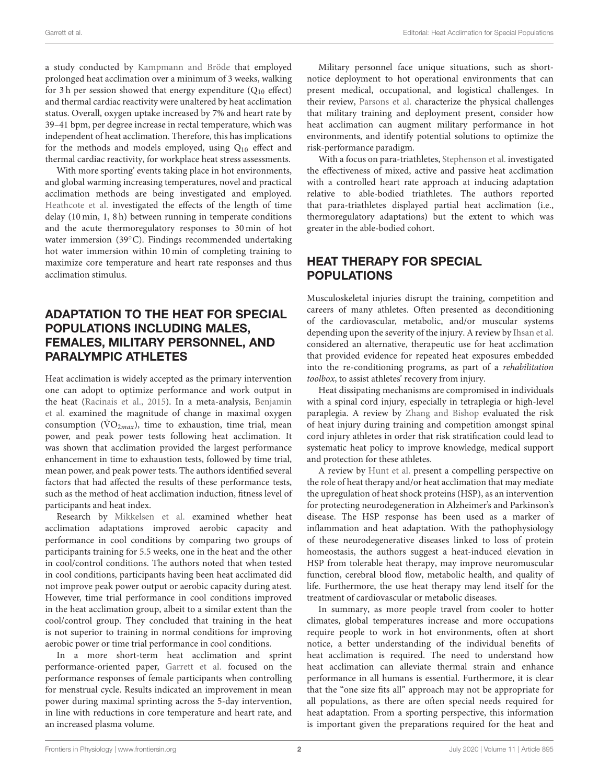a study conducted by [Kampmann and Bröde](https://doi.org/10.3389/fphys.2019.01524) that employed prolonged heat acclimation over a minimum of 3 weeks, walking for 3 h per session showed that energy expenditure  $(Q_{10} \text{ effect})$ and thermal cardiac reactivity were unaltered by heat acclimation status. Overall, oxygen uptake increased by 7% and heart rate by 39–41 bpm, per degree increase in rectal temperature, which was independent of heat acclimation. Therefore, this has implications for the methods and models employed, using  $Q_{10}$  effect and thermal cardiac reactivity, for workplace heat stress assessments.

With more sporting' events taking place in hot environments, and global warming increasing temperatures, novel and practical acclimation methods are being investigated and employed. [Heathcote et al.](https://doi.org/10.3389/fphys.2019.01381) investigated the effects of the length of time delay (10 min, 1, 8 h) between running in temperate conditions and the acute thermoregulatory responses to 30 min of hot water immersion (39<sup>°C</sup>). Findings recommended undertaking hot water immersion within 10 min of completing training to maximize core temperature and heart rate responses and thus acclimation stimulus.

# ADAPTATION TO THE HEAT FOR SPECIAL POPULATIONS INCLUDING MALES, FEMALES, MILITARY PERSONNEL, AND PARALYMPIC ATHLETES

Heat acclimation is widely accepted as the primary intervention one can adopt to optimize performance and work output in the heat [\(Racinais et al., 2015\)](#page-2-0). In a meta-analysis, Benjamin et al. [examined the magnitude of change in maximal oxygen](https://doi.org/10.3389/fphys.2019.01448) consumption ( $\dot{V}O_{2max}$ ), time to exhaustion, time trial, mean power, and peak power tests following heat acclimation. It was shown that acclimation provided the largest performance enhancement in time to exhaustion tests, followed by time trial, mean power, and peak power tests. The authors identified several factors that had affected the results of these performance tests, such as the method of heat acclimation induction, fitness level of participants and heat index.

Research by [Mikkelsen et al.](https://doi.org/10.3389/fphys.2019.01372) examined whether heat acclimation adaptations improved aerobic capacity and performance in cool conditions by comparing two groups of participants training for 5.5 weeks, one in the heat and the other in cool/control conditions. The authors noted that when tested in cool conditions, participants having been heat acclimated did not improve peak power output or aerobic capacity during atest. However, time trial performance in cool conditions improved in the heat acclimation group, albeit to a similar extent than the cool/control group. They concluded that training in the heat is not superior to training in normal conditions for improving aerobic power or time trial performance in cool conditions.

In a more short-term heat acclimation and sprint performance-oriented paper, [Garrett et al.](https://doi.org/10.3389/fphys.2019.01458) focused on the performance responses of female participants when controlling for menstrual cycle. Results indicated an improvement in mean power during maximal sprinting across the 5-day intervention, in line with reductions in core temperature and heart rate, and an increased plasma volume.

Military personnel face unique situations, such as shortnotice deployment to hot operational environments that can present medical, occupational, and logistical challenges. In their review, [Parsons et al.](https://doi.org/10.3389/fphys.2019.01485) characterize the physical challenges that military training and deployment present, consider how heat acclimation can augment military performance in hot environments, and identify potential solutions to optimize the risk-performance paradigm.

With a focus on para-triathletes, [Stephenson et al.](https://doi.org/10.3389/fphys.2019.01214) investigated the effectiveness of mixed, active and passive heat acclimation with a controlled heart rate approach at inducing adaptation relative to able-bodied triathletes. The authors reported that para-triathletes displayed partial heat acclimation (i.e., thermoregulatory adaptations) but the extent to which was greater in the able-bodied cohort.

## HEAT THERAPY FOR SPECIAL POPULATIONS

Musculoskeletal injuries disrupt the training, competition and careers of many athletes. Often presented as deconditioning of the cardiovascular, metabolic, and/or muscular systems depending upon the severity of the injury. A review by [Ihsan et al.](https://doi.org/10.3389/fphys.2019.01488) considered an alternative, therapeutic use for heat acclimation that provided evidence for repeated heat exposures embedded into the re-conditioning programs, as part of a rehabilitation toolbox, to assist athletes' recovery from injury.

Heat dissipating mechanisms are compromised in individuals with a spinal cord injury, especially in tetraplegia or high-level paraplegia. A review by [Zhang and Bishop](https://doi.org/10.3389/fspor.2019.00068) evaluated the risk of heat injury during training and competition amongst spinal cord injury athletes in order that risk stratification could lead to systematic heat policy to improve knowledge, medical support and protection for these athletes.

A review by [Hunt et al.](https://doi.org/10.3389/fphys.2019.01556) present a compelling perspective on the role of heat therapy and/or heat acclimation that may mediate the upregulation of heat shock proteins (HSP), as an intervention for protecting neurodegeneration in Alzheimer's and Parkinson's disease. The HSP response has been used as a marker of inflammation and heat adaptation. With the pathophysiology of these neurodegenerative diseases linked to loss of protein homeostasis, the authors suggest a heat-induced elevation in HSP from tolerable heat therapy, may improve neuromuscular function, cerebral blood flow, metabolic health, and quality of life. Furthermore, the use heat therapy may lend itself for the treatment of cardiovascular or metabolic diseases.

In summary, as more people travel from cooler to hotter climates, global temperatures increase and more occupations require people to work in hot environments, often at short notice, a better understanding of the individual benefits of heat acclimation is required. The need to understand how heat acclimation can alleviate thermal strain and enhance performance in all humans is essential. Furthermore, it is clear that the "one size fits all" approach may not be appropriate for all populations, as there are often special needs required for heat adaptation. From a sporting perspective, this information is important given the preparations required for the heat and